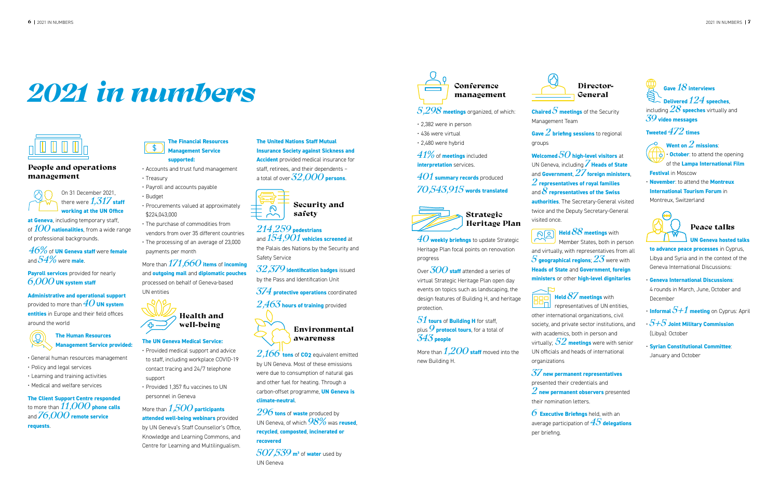#### People and operations management



On 31 December 2021, there were *1,317* **staff working at the UN Office** 

**at Geneva**, including temporary staff, of *100***nationalities**, from a wide range of professional backgrounds.

*46%* of **UN Geneva staff** were **female** and *54%* were **male**.

**Payroll services** provided for nearly *6,000* **UN system staff**

**Administrative and operational support** provided to more than *40* **UN system entities** in Europe and their field offices around the world



• General human resources management

- Policy and legal services
- Learning and training activities
- Medical and welfare services

**The Client Support Centre responded**  to more than *11,000***phone calls** and *76,000***remote service requests**.

# *2021 in numbers*



- Accounts and trust fund management
- Treasury
- Payroll and accounts payable
- Budget
- Procurements valued at approximately \$224,043,000
	- The purchase of commodities from vendors from over 35 different countries
	- The processing of an average of 23,000 payments per month

More than *171,660***items** of **incoming**  and **outgoing mail** and **diplomatic pouches** processed on behalf of Geneva-based UN entities



#### **The UN Geneva Medical Service:**

*41%* of **meetings** included **interpretation** services.

- Provided medical support and advice to staff, including workplace COVID-19 contact tracing and 24/7 telephone support
- Provided 1,357 flu vaccines to UN personnel in Geneva

More than *1,500***participants attended well-being webinars** provided

by UN Geneva's Staff Counsellor's Office, Knowledge and Learning Commons, and Centre for Learning and Multilingualism.

**The United Nations Staff Mutual Insurance Society against Sickness and Accident** provided medical insurance for staff, retirees, and their dependents – a total of over *32,000***persons**.



#### *214,259* **pedestrians** and *154,901* **vehicles screened** at

the Palais des Nations by the Security and Safety Service



*32,379* **identification badges** issued by the Pass and Identification Unit

- *374* **protective operations** coordinated
- *2,463* **hours of training** provided

### Environmental awareness

*2,166* **tons** of **CO2** equivalent emitted by UN Geneva. Most of these emissions were due to consumption of natural gas and other fuel for heating. Through a carbon-offset programme, **UN Geneva is climate-neutral**.

*296* **tons** of **waste** produced by UN Geneva, of which *98%* was **reused**, **recycled**, **composted**, **incinerated or recovered**

- $\cdot$  **Informal**  $5+1$  **meeting** on Cyprus: April
- *5+5* **Joint Military Commission** (Libya): October
- **Syrian Constitutional Committee**: January and October

*507,539* **m3** of **water** used by UN Geneva



#### *5,298* **meetings** organized, of which:

- 2,382 were in person
- 436 were virtual
- 2,480 were hybrid

*401* **summary records** produced

*70,543,915* **words translated**



*40* **weekly briefings** to update Strategic Heritage Plan focal points on renovation progress

Over *300***staff** attended a series of virtual Strategic Heritage Plan open day events on topics such as landscaping, the design features of Building H, and heritage protection.

*51* **tours** of **Building H** for staff, plus *9* **protocol tours**, for a total of *343* **people**

More than *1,200* **staff** moved into the new Building H.

#### Heritage Plan visited once.

## Director-General

**Chaired** *5* **meetings** of the Security

Management Team

**Gave** *2***briefing sessions** to regional

groups

#### **Welcomed** *50***high-level visitors** at UN Geneva, including *7* **Heads of State** and **Government**, *27* **foreign ministers**, *2***representatives of royal families** and *8* **representatives of the Swiss**

**authorities**. The Secretary-General visited twice and the Deputy Secretary-General

## **Held** *88* **meetings** with Member States, both in person and virtually, with representatives from all *5* **geographical regions**; *23* were with



representatives of UN entities, other international organizations, civil society, and private sector institutions, and with academics, both in person and virtually; *52* **meetings** were with senior UN officials and heads of international

organizations

## *37* **new permanent representatives**

presented their credentials and *2***new permanent observers** presented their nomination letters.

#### *6* **Executive Briefings** held, with an

average participation of *45* **delegations** per briefing.



#### **Tweeted** *472***times**



**Went on***2* **missions**: • **October**: to attend the opening of the **Lampa International Film** 

**Festival** in Moscow

• **November**: to attend the **Montreux International Tourism Forum** in Montreux, Switzerland



#### Peace talks

**UN Geneva hosted talks** 

**to advance peace processes** in Cyprus, Libya and Syria and in the context of the Geneva International Discussions:

### • **Geneva International Discussions**:

4 rounds in March, June, October and December